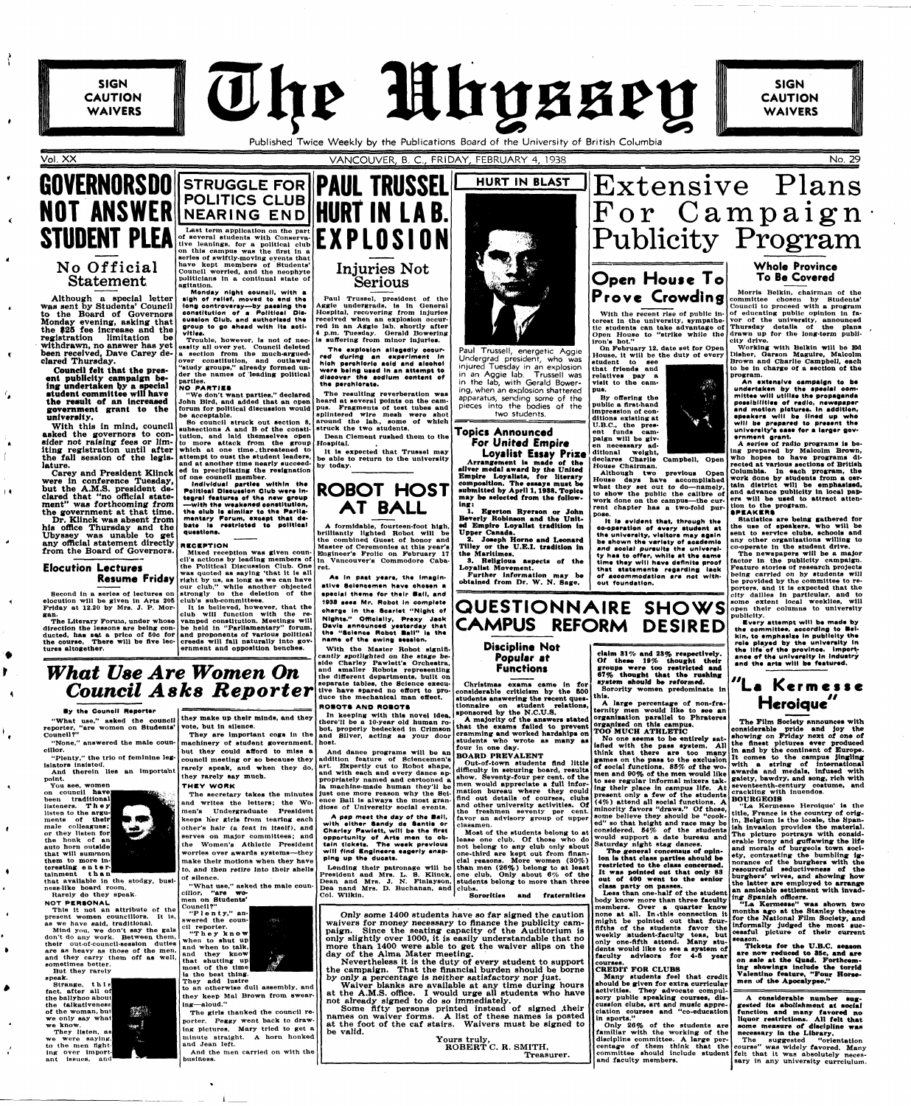Published Twice Weekly by the Publications Board of the University of British Columbia

 $\blacksquare$ 

 $\mathbf{r}$ 

 $\mathbf{R}$ 

**SIGN** 

**SIGN CAUTION WAIVERS** 



**CAUTION WAIVERS** 

# **GUVERNURSUU STRUGGLE FOR <b>PAUL TRUSSEL NOT ANSWER STUDENT PLEA No Official Statement**

Vol. XX VANCOUVER, B. C , FRIDAY, FEBRUARY 4, 1938 No. 29

Although a special letter was sent by Students' Council to the Board of Governors Monday evening, asking that the \$25 fee Increase and the registration limitation be withdrawn, no answer has yet been received, Dave Carey declared Thursday.

Carey and President Klinck were in conference Tuesday, but the A.M.S. president declared that "no official statement" was forthcoming from the government at that time.

Dr. Klinck was absent from his offlce Thursday and the Ubyssey was unable to get any official statement directly from the Board of Governors.

**Council felt that the present publicity campaign being undertaken by a special atudent committee will have the result of an Increased government** grant **to the university.** 

With this in mind, council asked the governors to con-utution, and laid themselves open sider not raising fees or limsider not raising fees or lim- to more attack from the group lting registration until after which at one time threatened to the fall session of the legis- attempt to oust the student leaders, lature.

## **Elocution Lectures Resume Friday**

**Second in a series of lectures on elocution will be given in Arts 205 Friday at 12.20 by Mrs. J. P. Morgan.** 

**The Literary Porum, under whose direction the lessons are being con**ducted, has set a price of 50c for and proponents of various political **the oourse. There will be Ave lectures altogether.** 

**POLITICS CLUB NEARING END HURT IN LAB. Last term application on the part of several students with Conservative leanings, for a political club on this campus was the flrst in a series of swiftly-moving events that have kept members of Students' Council worried, and the neophyte politicians ln a continual state of agitation.** 

**Monday night council, with a sigh of relief, moved to end the long controversy—by passing the constitution of a Polltleal Dlsousslon Club, and authorlssd the group to go ahead with Its activities.** 

**Trouble, however, ls not of necessity all over yet. Council deleted a section from the much-arguedover constitution, and outlawed "study groups," already formed under tbe names of leading political parties.** 

## **NO PARTIES**

**"We don't want parties," declared John Bird, and added that an open forum tor political discussion would be acceptable.** 

**So council struck out section 8, subsections A and B of the constiwhich at one time .threatened to and at another time nearly succeeded ln precipitating the resignation** 

**of one council member. Individual parties within the Polltleal Dlsousslon Olub were Integral features of the new group —with the weakened constitution, ths club Is similar to ths Parliamentary Porum, except that debate la restricted to polltleal questions.** 

"None," answered the male coun- machinery of student government, host. **but they could afford to miss a** 

**EXPLOSIO N** 

# **Injuries Not Serious**

**Paul Trussel, president of the Aggie undergrads. Is ln General Hospital, recovering from Injuries received when an explosion occurred ln an Aggie lab. shortly after 4 p.m. Tuesday. Gerald Bowerlng la sufTorlng from minor injuries.** 

**The explosion allegedly occurred during an experiment In hloh perchloric acid and alcohol were being used In an attempt to discover the sodium content cf the perehlorate.** 

**The resulting reverberation was heard at several points on the campus. Fragments of test tubes and splintered wire mesh were shot around the lab., some of which** 

**struck the two students. Dean Clement rushed them to the Hospital.** 

**It is expected that Trussel may be able to return to the university by today.** 

## **RECEPTION**

**Mixed reception was given counthe Political Discussion Club. One ret. was quoted as saying 'that it is all right by us, as long as we can have our club," while another objected strongly to the deletion of the club's sub-committees.** 

**It ls believed, however, that the club will function with the revamped constitution. Meetings will be held in "Parliamentary" forum, creeds will fall naturally Into government and opposition benches.** 

# *What Use Are Women On Council Asks Reporter*



**Undergrad president, who was injured Tuesday in an explosion in an Aggie lab. Trussell was in the lab, with Gerald Bowering, when an explosion shattered apparatus, sending some of the pieces into the bodies of the two students.** 

## **By the Council Reporter**

With the recent rise of public in**terest ln the university, sympathetic students can take advantage of Open House to "strike while the** 

**reporter, "are women on Students' vote, but in silence. Council?"** 

**cillor.** 

**"What use," asked the council they make up their minds, and they** 

**cil's actions by leading members of in Vancouver's Commodore Caba-A formidable, fourteen-foot high, brilliantly lighted Robot will be the combined Quest of honor and Master of Ceremonies at this year's Engineer's Frolic on February 17** 

**They are important cogs ln the and Silver, acting as your door In keeping with this novel Idea, there'll be a 10-year old human robot, properly bedecked ln Crimson** 



**Prove Crowding** *Morris Belkin, chairman of the* **<b>Prove Crowding** *e* **Conduct committee chosen by Students' Council to proceed with a program of educating public opinion in favor ot the university, announced Thursday details ot the plans drawn up for the long-term publicity drive.** 

**As In paat yaars, the Imaginative Sclencemen hsvs chosen a special theme for their Ball, and 1038 sees Mr. Robot In oomplete charge In the Scarlet "Night of Nights." Officially, Prexy Jack Davis announced yesterday that the "Soience Robot Ball" la the name of the awing session.** 

**With the Master Robot significantly spotlighted on the stage beside Charley Pawlett's Orchestra, and smaller Robots representing tbe different departments, built on separate tables, the Science executive have spared no effort to produce the mechanical man effect.** 

## **ROBOTS AN D ROBOTS**

**And dance programs will be an** 

## **Topics Announced Por United Empire**

**Loyalist Essay Prize Arrangement is made of the silver medal award by the United Empire Loyalists, for literary composition. The essays must be submitted by April 1,1938. Topics may be selected from the follow-**



**1. Egerton Ryerson or John Beverly Roblnaon and the United Empire Loyalist tradition tn Upper Canada.** 

**2. Joaeph Home and Leonard Tilley or the U.E.I, tradition in the Marltlmes. 3. Religious aspects of the** 

**Loyalist Movement. Further information may be** 

**obtained from Or. W. N. Sage.** 

Extensive Plans

For Campaign

Publicity Program

**Open House T o** 

**iron's hot."** 

**On February 12, date set for Open House, lt will be the duty ot every** 

**student to see that friends and relatives pay a visit to the cam-**

**pus.** 

**By offering the public a first-hand impression of conditions existing at U.B.C, the present funds campaign will be given necessary additional weight,** 

**House Chairman. Although two** 

**House days have accomplished previous Open what they set out** *to* **do—namely, to show the public the calibre of work done on the campus—the current chapter has a two-fold pur-**

**pose.** 

**declares Charlie Campbell, Open** 

**It Is evident that, through the eo-operatlen of m^ary studsnt at the university, visitors may again be ahown the variety of academic and social pursulta tha university haa to offer, while at the same time they will have definite proof that statements regarding lack of accommodation are not with-**

**out foundation.** 

**HURT IN BLAST** 

## **Popular at Functions**

**Christmas exams came in for considerable criticism by the BOO students answering the recent questionnaire on student relations,** 

**sponsored by the N.C.U.S. A majority of the answers stated that the exams failed to prevent cramming and worked hardships on students who wrote as many as four in one day.** 

| "Plenty." the trio of feminine leg-<br>islators insisted.<br>And therein lies an important<br>point.<br>You see, women<br>on council have<br>been traditional<br>listeners. They<br>listen to the <b>argu-</b><br><b>MARINA</b><br>ments of their<br>male colleagues;<br><b>CONTRACT</b><br>or they listen for<br>the honk of anl<br>auto horn outside<br>that will summon<br>them to more in-<br>teresting enter-<br>tainment than<br>that available in the stodgy, busi-<br>ness-like board room.<br>Rarely do they speak.<br><b>NOT PERSONAL</b>                                                               | Dul thos could along to miss<br>council meeting or so because they<br>rarely speak, and when they do,<br>they rarely say much.<br>THEY WORK<br>The secretary takes the minutes<br>and writes the letters; the Wo-<br>men's Undergraduate President<br>keeps her girls from tearing each<br>other's hair (a feat in itself), and<br>serves on major committees; and<br>the Women's Athletic President<br>worries over awards systems--they<br>make their motions when they have<br>to, and then retire into their shells<br>of silence.<br>"What use," asked the male coun-<br>cillor. "are wo-<br>men on Students' | And dance programs will be an BOARD PREVALENT<br>addition feature of Sciencemen's<br>Out-of-town students find little<br>art. Expertly cut to Robot shape,<br>difficulty in securing board, results<br>and with each and every dance ap-<br>show. Seventy-four per cent, of the<br>propriately named and cartooned a<br>men would appreciate a full infor-<br>la machine-made human they'll be<br>imation bureau where they could<br>just one more reason why the Sci-<br>find out details of courses, clubs<br>ence Ball is always the most gran-<br>and other university activities. Of<br>diose of University social events.<br>the freshmen seventy per cent.<br>A pep meet the day of the Ball,<br>favor an advisory group of upper<br>with either Sandy de Santis or<br>classmen.<br>Charley Pawlett, will be the first<br>Most of the students belong to a<br>opportunity of Arts men to ob-<br>lease one club. Of those who do<br>tain tickets. The week previous<br>not belong to any club only about<br>will find Engineers eagerly snap-<br>one-third are kept out from finan-<br>ping up the ducats.<br>cial reasons. More women (30%)<br>Lending their patronage will be than men $(26\%)$ belong to at least<br>President and Mrs. L. S. Klinck, one club. Only about $6\%$ of the<br>Dean and Mrs. J. N. Finlayson, students belong to more than three<br>Dea nand Mrs. D. Buchanan, and clubs.<br>Col. Wilkin.<br>Sororities<br>and fraternities | think that there are too many<br>games on the pass to the exclusion<br>of social functions. 85% of the wo-<br>men and 90% of the men would like<br>to see regular informal mixers tak-<br>ing their place in campus life. A<br>present only a few of the students<br>$(4%)$ attend all social functions. A<br>minority favors "draws." Of these.<br>some believe they should be "cook-<br>ed" so that height and race may be<br>considered. $54\%$ of the students<br>would support a date bureau and<br>Saturday night stag dances,<br>The general concensus of opin-<br>ion is that class parties should be<br>restricted to the class concerned.<br>It was pointed out that only 83<br>out of 400 went to the senior<br>class party on passes.<br>Less than one-half of the student<br>body know more than three faculty | It comes to the campus jingling<br>with a string of international<br>awards and medals, infused with<br>gaiety, bawdry, and song, rich with<br>seventeenth-century costume, and<br>crackling with inuendos.<br><b>BOURGEOIS</b><br>"La Kermesse Heroique' is the<br>title. France is the country of orig-<br>in, Belgium is the locale, the Span-<br>ish invasion provides the material.<br>The picture portrays with consid-<br>erable irony and guffawing the life<br>and morals of burgeois town soci-<br>ety, contrasting the bumbling ig-<br>norance of the burghers with the<br>resourceful seductiveness of the<br>burghers' wives, and showing how<br>the latter are employed to arrange<br>an amicable settlement with invad-<br>ing Spanish officers.                                                          |
|-------------------------------------------------------------------------------------------------------------------------------------------------------------------------------------------------------------------------------------------------------------------------------------------------------------------------------------------------------------------------------------------------------------------------------------------------------------------------------------------------------------------------------------------------------------------------------------------------------------------|--------------------------------------------------------------------------------------------------------------------------------------------------------------------------------------------------------------------------------------------------------------------------------------------------------------------------------------------------------------------------------------------------------------------------------------------------------------------------------------------------------------------------------------------------------------------------------------------------------------------|------------------------------------------------------------------------------------------------------------------------------------------------------------------------------------------------------------------------------------------------------------------------------------------------------------------------------------------------------------------------------------------------------------------------------------------------------------------------------------------------------------------------------------------------------------------------------------------------------------------------------------------------------------------------------------------------------------------------------------------------------------------------------------------------------------------------------------------------------------------------------------------------------------------------------------------------------------------------------------------------------------------------------------------------------------------------------------------------------------------------------------------------------------------------------------------------------------------------------------------------------------------------------------------------------------------------------------------------------------------------------------------------------------------------------------------------------------------|-----------------------------------------------------------------------------------------------------------------------------------------------------------------------------------------------------------------------------------------------------------------------------------------------------------------------------------------------------------------------------------------------------------------------------------------------------------------------------------------------------------------------------------------------------------------------------------------------------------------------------------------------------------------------------------------------------------------------------------------------------------------------------------------------------------------------------|--------------------------------------------------------------------------------------------------------------------------------------------------------------------------------------------------------------------------------------------------------------------------------------------------------------------------------------------------------------------------------------------------------------------------------------------------------------------------------------------------------------------------------------------------------------------------------------------------------------------------------------------------------------------------------------------------------------------------------------------------------------------------------------------------------------------------|
| This it not an attribute of the<br>present women councillors. It is,<br>as we have said, traditional.<br>Mind you, we don't say the gals<br>don't do any work. Between them,<br>their out-of-council-session duties<br>are as heavy as those of the men,<br>and they carry them off as well<br>sometimes better.<br>But they rarely<br>speak.<br>Strange, this<br>fact, after all of<br>the ballyhoo about<br>the talkativeness<br><b>VALUE</b><br>of the woman, but<br>we only say what<br>we know.<br>™agan }<br>They listen, as<br>we were saying.<br>to the men fight-<br>ing over import-<br>ant issues, and | Council?"<br>"Plenty," an-<br>swered the coun-<br>, stepes. .<br>cil reporter.<br>"They know<br>when to shut up<br>and when to talk,<br>and they know<br>that shutting up<br>most of the time<br>is the best thing.<br>They add lustre<br>to an otherwise dull assembly, and<br>they keep Mal Brown from swear-<br>ing-aloud."<br>The girls thanked the council re-<br>porter. Peggy went back to draw-<br>ing pictures. Mary tried to get a<br>minute straight. A horn honked<br>and Jean left.<br>And the men carried on with the<br>business.                                                                   | Only some 1400 students have so far signed the caution<br>waivers for money necessary to finance the publicity cam-<br>paign. Since the seating capacity of the Auditorium is<br>only slightly over 1000, it is easily understandable that no<br>more than 1400 were able to get the waiver slips on the<br>day of the Alma Mater meeting.<br>Nevertheless it is the duty of every student to support<br>the campaign. That the financial burden should be borne<br>by only a percentage is neither satisfactory nor just.<br>Waiver blanks are available at any time during hours<br>at the A.M.S. office. I would urge all students who have<br>not already signed to do so immediately.<br>Some fifty persons printed instead of signed their<br>names on waiver forms. A list of these names is posted<br>at the foot of the caf stairs. Waivers must be signed to<br>be valid.<br>Yours truly.<br>ROBERT C. R. SMITH,<br>Treasurer.                                                                                                                                                                                                                                                                                                                                                                                                                                                                                                                         | members. Over a quarter know<br>Inone at all. In this connection it<br>might be pointed out that four-<br>Ififths of the students favor the<br>weekly student-faculty teas, but<br>only one-fifth attend. Many stu-<br>dents would like to see a system of<br><b>faculty advisors for 4-5 year</b><br>l courses.<br><b>ICREDIT FOR CLUBS</b><br>Many students feel that credit<br>should be given for extra curricular<br><b>Iactivities.</b> They advocate compul-<br>sory public speaking courses, dis-<br>cussion clubs, art and music appre-<br>ciation courses and "co-education<br>llin sports."<br>Only 26% of the students are<br>familiar with the working of the<br>discipline committee. A large per-<br>and faculty members,                                                                                    | "La Kermesse" was shown two<br>months ago at the Stanley theatre<br>for the National Film Society, and<br>informally judged the most suc-<br>cessful picture of their current<br>season.<br>Tickets for the U.B.C. season<br>are now reduced to 35c, and are<br>on sale at the Quad. Forthcom-<br>ing showings include the torrid<br>Valentino feature, "Four Horse-<br>men of the Apocalypse."<br>A considerable number sug-<br>gested its abolishment at social<br>function and many favored no<br>liquor restrictions. All felt that<br>some measure of discipline was<br>necessary in the Library.<br>The suggested<br>"orientation"<br>centage of them think that the course" was widely favored. Many<br>committee should include student felt that it was absolutely neces-<br>sary in any university curreiulum. |



**Of these 19% thought their groups were too restricted and 87% thought that the rushing system ahould be reformed. Sorority women predominate in** 

**this. A large percentage of non-fraternity men would like to see an organisation parallel to Phrateres organised on this campus. TOO" MUCH ATHLETIC** 

**No one seems to be entirely satisfied with the pass system. All think that there are too many** 

## **Whole Province To Be Covered**

**Working with Belkin will bo Bd Disher, Carson Magulre, Malcolm Brown and Charlie Campbell, each to be in charge of a section of the program.** 

**An extensive campaign to be undertaken by the special committee will utilise the propaganda possibilities of radio, newspaper and motion pictures. In addition, apeakera will be lined up who will be prepared to present the university's ease for a larger government grant.** 

**A series of radio programs is being prepared by Malcolm Brown, who hopes to have programs directed at various sections of British Columbia. In each program, tbe work done by students from a certain district will be emphasised, and advance publicity in local papers will be used to attraot attention to the program.** 

**SPEAKERS** 

**Statistics are being gathered for the use of apeakera, who will be sent to service olubs, schools and any other organisations willing to co-operate In the student drive.** 

**The newspapers will be a major factor in the publicity campaign. Feature stories ot research projects being carried** *on* **by students will be provided by the committee to reporters, and it ls expected that the city dailies in particular, and to some extent local weeklies, will open their columns to university publicity.** 

**Evsry attempt will be made by the committee, according to Belkin, to emphasise In publicity the role played by the university In the life of the province. Importance of the unlveralty In Induatry and tho arta will be featured.** 



**The Film Society announces with considerable pride and joy the showing on Friday next of one of the finest pictures ever produced in and by the continent of Europe.**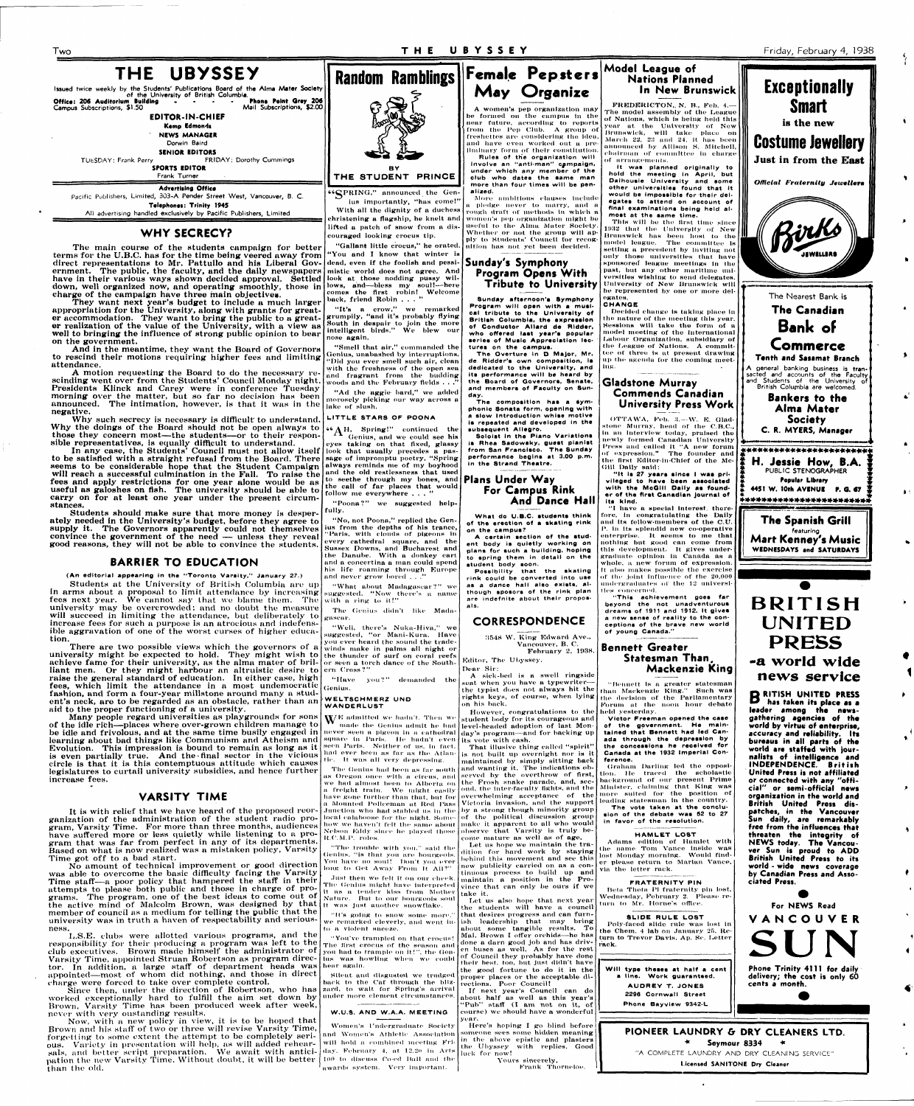**Two T H E UBYSSE Y** Friday, February 4, 1938

| THE UBYSSEY<br>Issued twice weekly by the Students' Publications Board of the Alma Mater Society<br>of the University of British Columbia.<br>Phone Point Grey 206<br>Office: 206 Auditorium Building<br>Mail Subscriptions, \$2.00<br>Campus Subscriptions, \$1.50 |       |  |  |
|---------------------------------------------------------------------------------------------------------------------------------------------------------------------------------------------------------------------------------------------------------------------|-------|--|--|
| <b>EDITOR-IN-CHIEF</b>                                                                                                                                                                                                                                              |       |  |  |
| Kemp Edmonds                                                                                                                                                                                                                                                        |       |  |  |
| <b>NEWS MANAGER</b>                                                                                                                                                                                                                                                 |       |  |  |
| Dorwin Baird                                                                                                                                                                                                                                                        |       |  |  |
| <b>SENIOR EDITORS</b>                                                                                                                                                                                                                                               |       |  |  |
| <b>FRIDAY: Dorothy Cummings</b><br>TUESDAY: Frank Perry                                                                                                                                                                                                             |       |  |  |
| <b>SPORTS EDITOR</b>                                                                                                                                                                                                                                                |       |  |  |
| Frank Turner                                                                                                                                                                                                                                                        | rþ    |  |  |
| <b>Advertising Office</b>                                                                                                                                                                                                                                           |       |  |  |
| Pacific Publishers, Limited, 303-A Pender Street West, Vancouver, B. C.                                                                                                                                                                                             |       |  |  |
| Telephones: Trinity 1945                                                                                                                                                                                                                                            | W     |  |  |
| All advertising handled exclusively by Pacific Publishers, Limited                                                                                                                                                                                                  | ahnia |  |  |

The main course of the students campaign for better terms for the U.B.C. has for the time being veered away from direct representations to Mr. Pattullo and his Liberal Government. The public, the faculty, and the daily newspapers have in their various ways shown decided approval. Settled down, well organized now, and operating smoothly, those in charge of the campaign have three main objectives.

## **WHY SECRECY?**

Why such secrecy is necessary is difficult to understand. Why the doings of the Board should not be open always to those they concern most—the students—or to their responsible representatives, is equally difficult to understand.

They want next year's budget to include a much larger appropriation for the University, along with grants for greater accommodation. They want to bring the public to a greater realization of the value of the University, with a view as well to bringing the influence of strong public opinion to bear on the government.

And in the meantime, they want the Board of Governors to rescind their motions requiring higher fees and limiting attendance.

A motion requesting the Board to do the necessary rescinding went over from the Students' Council Monday night. Presidents Klinck and Carey were in conference Tuesday morning over the matter, but so far no decision has been announced. The intimation, however, is that it was in the negative.

In any case, the Students' Council must not allow itself to be satisfied with a straight refusal from the Board. There sage of impromptu poetry. "Spring seems to be considerable hope that the Student Campaign always reminds me of my boyhood will reach a successful culmination in the Fall. To raise the  $\begin{bmatrix}$  and the old restlessness that used fees and apply restrictions for one year alone would be as useful as galoshes on flsh. The university should be able to carry on for at least one year under the present circumstances.

No amount of technical improvement or good direction was able to overcome the basic difficulty facing the Varsity Time staff—a poor policy that hampered the staff in their attempts to please both public and those in charge of programs. The program, one of the best ideas to come out of frame. The program, the order the second test in the second by that  $\left\lVert u\right\rVert_{\text{H}}$  was just another snowflake. member of council as a medium for telling the public that the university was in truth a haven of respectability and seriousumve<br>ness.

Students should make sure that more money is desperately needed in the University's budget, before they agree to supply it. The Governors apparently could not themselves convince the government of the need — unless they reveal good reasons, they will not be able to convince the students.

## **BARRIER TO EDUCATION**

(An editorial appearing in the "Toronto Varsity," January 27.)

Students at the University of British Columbia are up in arms about a proposal to limit attendance by increasing fees next year. We cannot say that we blame them. The university may be overcrowded; and no doubt the measure will succeed in limiting the attendance, but deliberately to increase fees for such a purpose is an atrocious and indefensible aggravation of one of the worst curses of higher education.

PRING," announced the Genius importantly, "has come!" ith all the dignity of a duchess ristening a flagship, he knelt and lifted a patch of snow from a discouraged looking crocus tip.

"Gallant little crocus," he orated 'You and I know that winter i dead, even if the foolish and pessi-**Sunday's Symphony**  mistic world does not agree. And look at those nodding pussy willows, and—bless my soul!—here comes the first robin! Welcome back, friend Robin . . .

"It's a crow," we remarked grumpily, "and it's probably flying South in despair to join the more intelligent birds." We blew our nose again.

"Smell thnt air," commanded the Genius, unabashed by interruptions. "Did you ever smell such air, clean with the freshness of the open sea and fragrant from the budding woods and the February fields.

There are two possible views which the governors of a university might be expected to hold. They might wish to achieve fame for their university, as the alma mater of brilliant men. Or they might harbour an altruistic desire to ern Cross?" raise the general standard of education. In either case, high fees, which limit the attendance in a most undemocraticfashion, and form a four-year millstone around many a student's neck, are to be regarded as an obstacle, rather than an aid to the proper functioning of a university.

 ${}^{\text{66}}\text{A}^{\text{H}}$ , Spring!" continued the Genius, and we could see his

eyes taking on that fixed, glassy look that usually precedes a pasto seethe through my bones, and the call of far places that would follow me everywhere . . .

"Poona?" we suggested helpfully.

"No, not Poona," replied the Genius from the depths of his trance, "Paris, with clouds of pigeons In every cathedral square, and the Sussex Downs, and Bucharest and the Danube. With a donkey cart and a concertina a man could spend his life roaming through Europe and never grow bored ..

"What about Madagascar?" we suggested. "Now there's a name with a ring to it!"

Many people regard universities as playgrounds for sons of the idle rich—places where over-grown children manage to be idle and frivolous, and at the same time busily engaged in never seen a pigeon in a cathedral learning about bad things like Communism and Atheism and Evolution. This impression is bound to remain as long as it is even partially true. And the-final sector in the vicious circle is that it is this contemptuous attitude which causes legislatures to curtail university subsidies, and hence further increase fees.

"Have you?" demanded the Genius.

## WELTSCHMERZ UND **WANDERLUS T**

 $\mathbf{W}^{\text{E}}$  admitted we hadn't. Then we made the Genius admit he had square tu Paris. He hadn't even seen I'aris. Neither of us, ln tact, had ever been as far as the Atlan-

## **VARSITY TIME**

It is with relief that we have heard of the proposed reorganization of the administration of the student radio program, Varsity Time. For more than three months, audiences have suffered more or less quietly while listening to a program that was far from perfect in any of its departments. Based on what is now realized was a mistaken policy, Varsity Time got off to a bad start.

## **Female Pepsters May Organize**

The composition has a sym**phonic Sonata form, opening with a slow Introduction whise motive Is repeated and developed in the subsequent Allegro.** 

L.S.E. clubs were allotted various programs, and the responsibility for their producing a program was left to the club executives. Brown made himself the administrator of Varsity Time, appointed Struan Robertson as program director. In addition, a large staff of department heads was hear again. appointed—most of whom did nothing, and those in direct charge were forced to take over complete control.

Since then, under the direction of Robertson, who has worked exceptionally hard to fulfill the aim set down by Brown, Varsity Time has been produced week after week, never with very oustanding results.

Now, with a new policy in view, it is to be hoped that Brown and his staff of two or three will revise Varsity Time, forgetting to some extent the attempt to be completely serious. Variety in presentation will help, as will added rehearsals, and better script preparation. We await with anticisals, and better script preparation. We await with antici- day, February 4, at 12.20 in Arts<br>pation the new Varsity Time. Without doubt, it will be better (100 to discuss Co-ed Ball and the than the old.

had ever been as far as the Atlan-<br>tic. It was all very depressing.

student body for its courageous and level-headed adoption of last Monday's program—and for backing up its vote with cash. That illusive thing called "spirit"



The Genius had been as far south and wanting it. The indications obis not built up overnight nor is it maintained by simply sitting back served by the overthrow of first,

> overwhelming acceptance of the Victoria invasion, and the support by a strong though minority group of the political discussion group observe that Varsity is truly be-

come mature as well as of age. Let us hope we maintain the tra-

maintain a position in the Province that can only be ours if  $w\epsilon$ Let us also hope that next year

their best, too. but Just didn't have the good fortune to do it in the proper places or the acceptable directions. Poor Council! If next year's Council can do about half as well aa this year's 'Pub" staff (I am not on it, of

## **Model League of Nations Planned In New Brunswick**  FREDERICTON, N. B., Feb. 4.-

The model assembly of the League of Nations, which is being held this year at the University of New Brunswick, will take placo on March 22, 23 and 24, it has been announced by Allison S. Mitchell, chairman of committee in charge of arrangements.

"Ad the aggie bard," we added morosely picking our way across a lake of slush.

## **LITTLE STARS OF POONA**

OTTAWA, Feb. 3.-W. E. Gladstone Murray, head of the C.B.C, in au interview today, praised the newly formed Canadian University Press and called It "A new forum of expression." The founder nnd the first Editor-in-Chief of the Mc-Giil Dally Bald:

"I have a special Interest; therefore, In congratulating the Daily and its fellow-members of the  $\mathbf{C}.\mathbf{U}$ P. in its splendid new co-operative enterprise. It seems to me that nothing but good can come from this development. It gives undergraduate! opinion iu Canada as a whole, a new forum of expression. also makes possible the exercise of the joint influence of the  $20,000$ undergraduates of tlie 12 universites concerned.

The Genius didn't like Madagascar.

"Well, there's Nuka-Hiva," we suggested, "or Mani-Kura. Have you ever heard the sound the tradewinds make in palms all night or the thunder of surf on coral reefs or seen a torch dance of the South-

> Graham Darling led the opposition. He traced the scholastic background of our present Prime Minister, claiming that King was more suited for the position of leading statesman In the country. The vote taken at the conclusion of the debate was 52 to 27 in favor of the resolution. **HAMLET LOST**

Adams edition of Hamlet with the name Tom Vance Inside was lost Monday morning. Would finder please return to Marian Vance, via the letter rack.

**Will type theses at half a cent a line. Work guaranteed. AUDREY T. JONES 2296 Cornwall Street Phone Bayview 9342-L** 

as Oregon once with a circus, and we had almost been to Alberta on the Frosh snake parade, and, seca freight train. We might easily ond, the inter-faculty fights, and the have gone further than that, but for  $\sqrt{a}$  Mounted Policeman at Red Pass .Inaction wlio had stabled us In tlie local calaboose for tlio night. Somehow we haven't felt the same about make it apparent to all who would Nelson Kddy since lie played those U.C.M.P. roles.

"The trouble with you.'' said the Genius, "is that you are bourgeois. You have no soul! l)on't you ever long to Get Away Prom It All?"

A women's pep organization may be formed on the campus in the near future, according to reports from the Pep Club. A group of freshettes are considering the ideu, and have even worked out u preliminary form of their constitution. Rules of the organization will Involve an "anti-man" campaign, under which any member of the club who dates the same man more than four times will be penalized.

More ambitious clauses include a pledge never to marry, and a rough draft of methods in which a women's pep organization might be useful to the Alma Mater Society. Whether or not the group will apply to Htudents' Council for recognition lias not yet been decided.

**Program Opens With Tribute to University** 

**Sunday afternoon's Symphony Program will open with a musical tribute to the Univereity of British Columbia, the expression of Conduetor Allard de Ridder, who offered laet year'e popular series of Music Appreciation lectures on the campua.** 

**The Overture in D Major, Mr. de Ridder's own composition, Is dedicated to the University, and its performance will be heard by the Board of Governors, Senate,**  and **members of Faculty on Sunday.** 

**Soloist In the Piano Variations is Rhea Sadowaky, gueet pianiet from San Francisco. The Sunday performance begins at 3.00 p.m. In the Strand Theatre.** 

## **Plans Under Way For Campus Rink And Dance Hall**

**What do U.B.C. studente think** 

**of the erection of a skating rink on the campus? A certain section of the student body is quietly working on plans for such a building, hoping to spring them in detail on the** 

Just then we felt it on our cheek. The Genius might have Interpreted it as a tender kiss from Mother Nature. But to our bourgeois soul take it.

**student body soon.** 

**Possibility that the skating**  rink could **be converted** into **use**  as a dance hall **also exists, although sposors of the** rink plan are indefnite about their proposals.

## **CORRESPONDENCE**

"It's going to snow some moro,"

we remarked cleverly, and went into a violent sneeze.

"You've trampled on that crocus! The first crocus of the season and you had to trample on it!", the Genius was howling whon wo could

Silent, and disgusted we trudged back to the Caf through the blizzard, to wait for Spring's arrival

under more clement circumstances.

W.U.S. AND W.A.A. MEETING

100 to discuss Co-ed Hall and the awards system. Very important.

.'1548 W. King Edward Ave., Vancouver, B. C. February 2, 1938.

Editor, The Ubyssey. Dear Sir:

A sick-bed is a swell ringside seat when you have a typewriter the typist does not always hit the rights keys, of course, when lying on his back. However, congratulations to the

Women's I'ndorgraduate Society and Women's Athletic Association will hold a combined meeting Friyear. luck for now!

dition for hard work by staying behind this movement and see this new publicity carried on as a continuous process to build up and

the students will have a council that desires progress and can furnish leadership that may bring about some tangible results. To Mai. Brown I offer orchids—he has done a darn good job and has driven buses as well. As for the rest of Council they probably have done

course) we should have a wonderful

Here's hoping I go blind before someone sees some hidden meaning in the above epistle and plasters the Ubyssey with replies. Good

> Yours sincerely, Frank Thorneloe.

it was planned originally to hold the meeting in April, but Dalhousie University and some other universities found that it would be impossible for their delegates to attend on account of final examinations being held almost at the same time.

This will be tho first time since 1932 that the University of New Brunswick lias been host to the model league. The committee is setting a precedent by Inviting not only those universities that have sponsored league meetings ln the past, but any other maritime universities wishing to send delegates.

University of New Brunswick will be represented by one or mure delegates.

## **CHANGE**

Decided change Is taking place in the nature of the meeting this year. Sessions will take the form of a model meeting of the International I,abour Organization, subsidiary of the League of Nations. A committee of three is at present drawing up the agenda for the coming meeting.

## **Gladstone Murray Commends Canadian University Press Work**

"It is 27 years since I waa privileged to have been assoolated with the McGill Daily as founder of the first Canadian journal of its kind.

**"This achievement goes far beyond the not unadventurous dreams of 1911 and 1912. It gives a** new **sense of reality to the conceptions of the brave new world of young Canada."** 

**Bennett Greater Statesman Than. Mackenzie King** 

"Bennett, is a greater statesman than Mackenzie King." Such was the decision of the Parliamen<mark>tary</mark> Forum at the noon hour debate held yesterday.

Victor Freeman opened the case of the government. He maintained that Bennett had led Canada through the depression by the concessions he reoeived for Canada at the 1932 Imperial Con-

ference.

**FRATERNITY PIN**  Heta Theta Pi fraternity pin lost, Wednesday, February 2. Please return to Mr. Home's office.

## **SLIDE RULE LOST**

Poly-faced slide rule was lost in he Chem. 4 lab on January 25. Return to Trevor Davis, Ap. Sc. Letter rack.



**leader among the newsgathering agencies of the world by virtue of enterprise, accuracy and reliability. Its bureaus in all parts of the world are staffed with jour-**

**nalists of intelligence and INDEPENDENCE. British United Press is not affiliated or connected with any "official" or semi-official news organization in the world and British United Press dispatches, in the Vancouver Sun daily, are remarkably free from the influences that threaten the integrity of NEWS today. The Vancouver Sun is proud to ADD British United Press to its world - wide news coverage by Canadian Press and Associated Press.** 

 $\blacklozenge$ 

**For NEWS Read VANCOUVE R SUN** 

**Phone Trinity 4111 for daily delivery; the cost is only 60 cents a month.** 

PIONEER LAUNDRY & **DRY** CLEANERS LTD. Seymour 8334 "A COMPLETE LAUNDRY AND DRY CLEANING SERVICE"

**Licensed SANITONE Dry Cleaner**